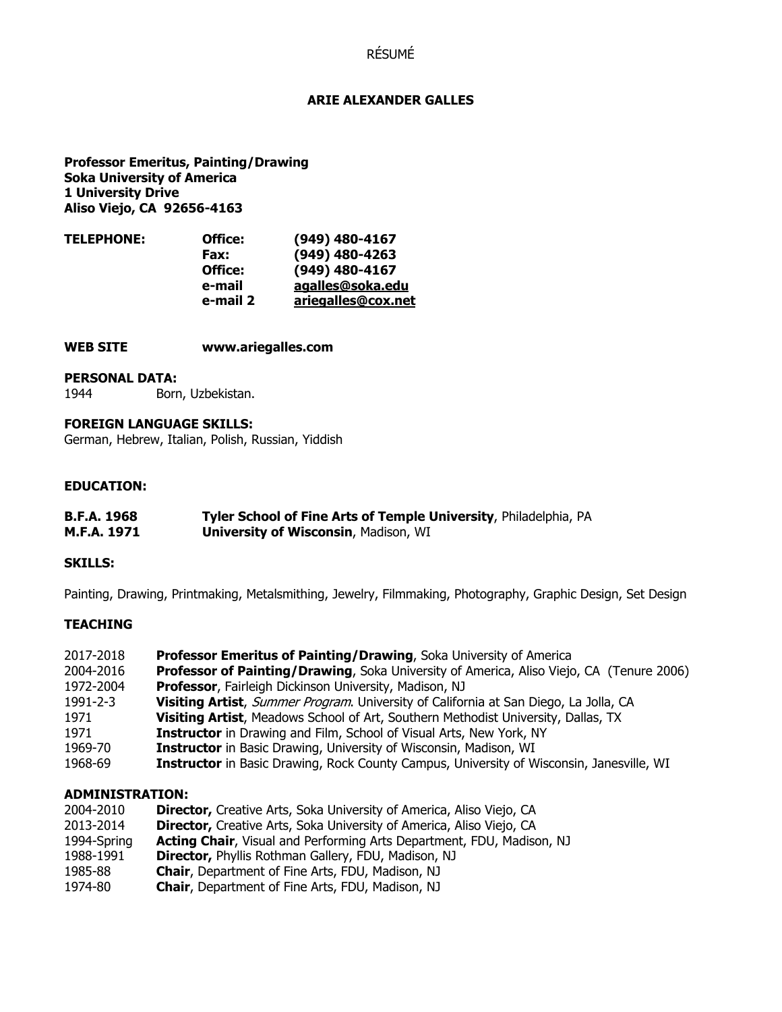# RÉSUMÉ

### **ARIE ALEXANDER GALLES**

**Professor Emeritus, Painting/Drawing Soka University of America 1 University Drive Aliso Viejo, CA 92656-4163** 

| <b>TELEPHONE:</b> | Office:  | $(949)$ 480-4167   |
|-------------------|----------|--------------------|
|                   | Fax:     | (949) 480-4263     |
|                   | Office:  | (949) 480-4167     |
|                   | e-mail   | agalles@soka.edu   |
|                   | e-mail 2 | ariegalles@cox.net |
|                   |          |                    |

#### **WEB SITE www.ariegalles.com**

#### **PERSONAL DATA:**

1944 Born, Uzbekistan.

### **FOREIGN LANGUAGE SKILLS:**

German, Hebrew, Italian, Polish, Russian, Yiddish

## **EDUCATION:**

| <b>B.F.A. 1968</b> | Tyler School of Fine Arts of Temple University, Philadelphia, PA |
|--------------------|------------------------------------------------------------------|
| M.F.A. 1971        | <b>University of Wisconsin, Madison, WI</b>                      |

### **SKILLS:**

Painting, Drawing, Printmaking, Metalsmithing, Jewelry, Filmmaking, Photography, Graphic Design, Set Design

### **TEACHING**

| 2017-2018 | <b>Professor Emeritus of Painting/Drawing, Soka University of America</b>                       |
|-----------|-------------------------------------------------------------------------------------------------|
| 2004-2016 | Professor of Painting/Drawing, Soka University of America, Aliso Viejo, CA (Tenure 2006)        |
| 1972-2004 | <b>Professor, Fairleigh Dickinson University, Madison, NJ</b>                                   |
| 1991-2-3  | Visiting Artist, Summer Program. University of California at San Diego, La Jolla, CA            |
| 1971      | Visiting Artist, Meadows School of Art, Southern Methodist University, Dallas, TX               |
| 1971      | <b>Instructor</b> in Drawing and Film, School of Visual Arts, New York, NY                      |
| 1969-70   | <b>Instructor</b> in Basic Drawing, University of Wisconsin, Madison, WI                        |
| 1968-69   | <b>Instructor</b> in Basic Drawing, Rock County Campus, University of Wisconsin, Janesville, WI |

## **ADMINISTRATION:**

| <b>Acting Chair, Visual and Performing Arts Department, FDU, Madison, NJ</b> |
|------------------------------------------------------------------------------|
|                                                                              |
|                                                                              |
|                                                                              |
|                                                                              |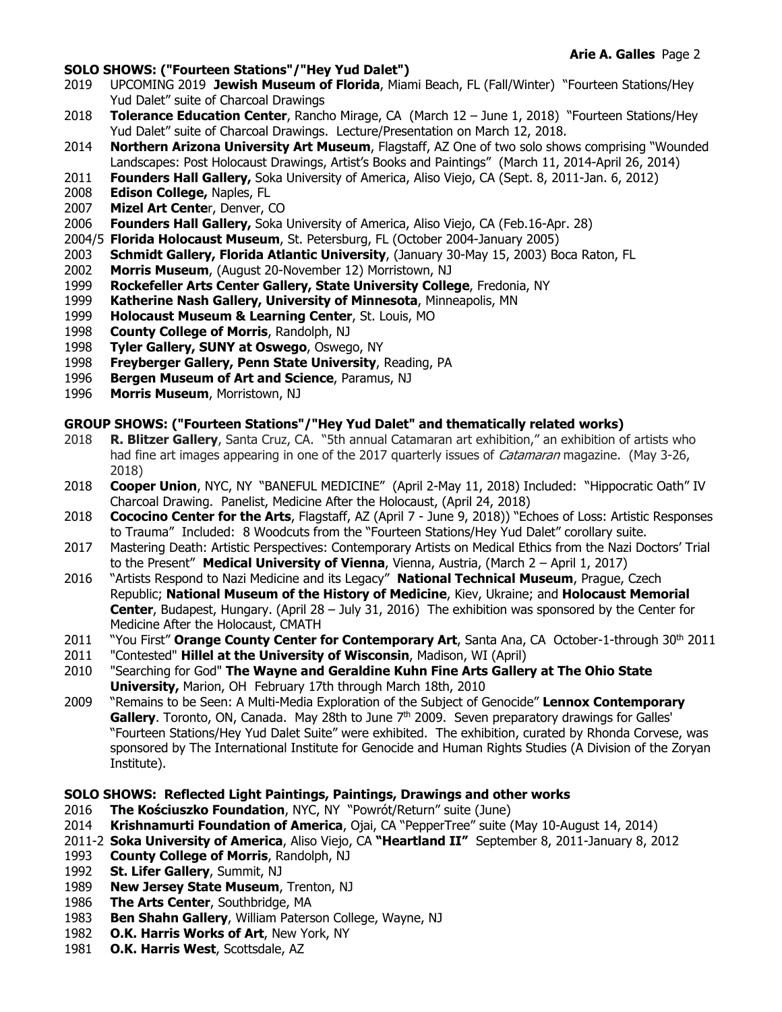### **SOLO SHOWS: ("Fourteen Stations"/"Hey Yud Dalet")**

- 2019 UPCOMING 2019 **Jewish Museum of Florida**, Miami Beach, FL (Fall/Winter) "Fourteen Stations/Hey Yud Dalet" suite of Charcoal Drawings
- 2018 **Tolerance Education Center**, Rancho Mirage, CA (March 12 June 1, 2018) "Fourteen Stations/Hey Yud Dalet" suite of Charcoal Drawings. Lecture/Presentation on March 12, 2018.
- 2014 **Northern Arizona University Art Museum**, Flagstaff, AZ One of two solo shows comprising "Wounded Landscapes: Post Holocaust Drawings, Artist's Books and Paintings" (March 11, 2014-April 26, 2014)
- 2011 **Founders Hall Gallery,** Soka University of America, Aliso Viejo, CA (Sept. 8, 2011-Jan. 6, 2012)
- 2008 **Edison College,** Naples, FL
- 2007 **Mizel Art Cente**r, Denver, CO
- 2006 **Founders Hall Gallery,** Soka University of America, Aliso Viejo, CA (Feb.16-Apr. 28)
- 2004/5 **Florida Holocaust Museum**, St. Petersburg, FL (October 2004-January 2005)
- 2003 **Schmidt Gallery, Florida Atlantic University**, (January 30-May 15, 2003) Boca Raton, FL
- 2002 **Morris Museum**, (August 20-November 12) Morristown, NJ
- 1999 **Rockefeller Arts Center Gallery, State University College**, Fredonia, NY
- 1999 **Katherine Nash Gallery, University of Minnesota**, Minneapolis, MN
- 1999 **Holocaust Museum & Learning Center**, St. Louis, MO
- 1998 **County College of Morris**, Randolph, NJ
- 1998 **Tyler Gallery, SUNY at Oswego**, Oswego, NY
- 1998 **Freyberger Gallery, Penn State University**, Reading, PA
- 1996 **Bergen Museum of Art and Science**, Paramus, NJ
- 1996 **Morris Museum**, Morristown, NJ

### **GROUP SHOWS: ("Fourteen Stations"/"Hey Yud Dalet" and thematically related works)**

- 2018 **R. Blitzer Gallery**, Santa Cruz, CA. "5th annual Catamaran art exhibition," an exhibition of artists who had fine art images appearing in one of the 2017 quarterly issues of *Catamaran* magazine. (May 3-26, 2018)
- 2018 **Cooper Union**, NYC, NY"BANEFUL MEDICINE" (April 2-May 11, 2018) Included: "Hippocratic Oath" IV Charcoal Drawing. Panelist, Medicine After the Holocaust, (April 24, 2018)
- 2018 **Cococino Center for the Arts**, Flagstaff, AZ (April 7 June 9, 2018)) "Echoes of Loss: Artistic Responses to Trauma" Included: 8 Woodcuts from the "Fourteen Stations/Hey Yud Dalet" corollary suite.
- 2017 Mastering Death: Artistic Perspectives: Contemporary Artists on Medical Ethics from the Nazi Doctors' Trial to the Present" **Medical University of Vienna**, Vienna, Austria, (March 2 – April 1, 2017)
- 2016 "Artists Respond to Nazi Medicine and its Legacy" **National Technical Museum**, Prague, Czech Republic; **National Museum of the History of Medicine**, Kiev, Ukraine; and **Holocaust Memorial Center**, Budapest, Hungary. (April 28 – July 31, 2016) The exhibition was sponsored by the Center for Medicine After the Holocaust, CMATH
- 2011 "You First" **Orange County Center for Contemporary Art**, Santa Ana, CA October-1-through 30th 2011
- 2011 "Contested" **Hillel at the University of Wisconsin**, Madison, WI (April)
- 2010 "Searching for God" **The Wayne and Geraldine Kuhn Fine Arts Gallery at The Ohio State University,** Marion, OH February 17th through March 18th, 2010
- 2009 "Remains to be Seen: A Multi-Media Exploration of the Subject of Genocide" **Lennox Contemporary**  Gallery. Toronto, ON, Canada. May 28th to June 7<sup>th</sup> 2009. Seven preparatory drawings for Galles' "Fourteen Stations/Hey Yud Dalet Suite" were exhibited. The exhibition, curated by Rhonda Corvese, was sponsored by The International Institute for Genocide and Human Rights Studies (A Division of the Zoryan Institute).

### **SOLO SHOWS: Reflected Light Paintings, Paintings, Drawings and other works**

- 2016 **The Kościuszko Foundation**, NYC, NY "Powrót/Return" suite (June)
- 2014 **Krishnamurti Foundation of America**, Ojai, CA "PepperTree" suite (May 10-August 14, 2014)
- 2011-2 **Soka University of America**, Aliso Viejo, CA **"Heartland II"** September 8, 2011-January 8, 2012
- 1993 **County College of Morris**, Randolph, NJ
- 1992 **St. Lifer Gallery**, Summit, NJ
- 1989 **New Jersey State Museum**, Trenton, NJ
- 1986 **The Arts Center**, Southbridge, MA
- 1983 **Ben Shahn Gallery**, William Paterson College, Wayne, NJ
- 1982 **O.K. Harris Works of Art**, New York, NY
- 1981 **O.K. Harris West**, Scottsdale, AZ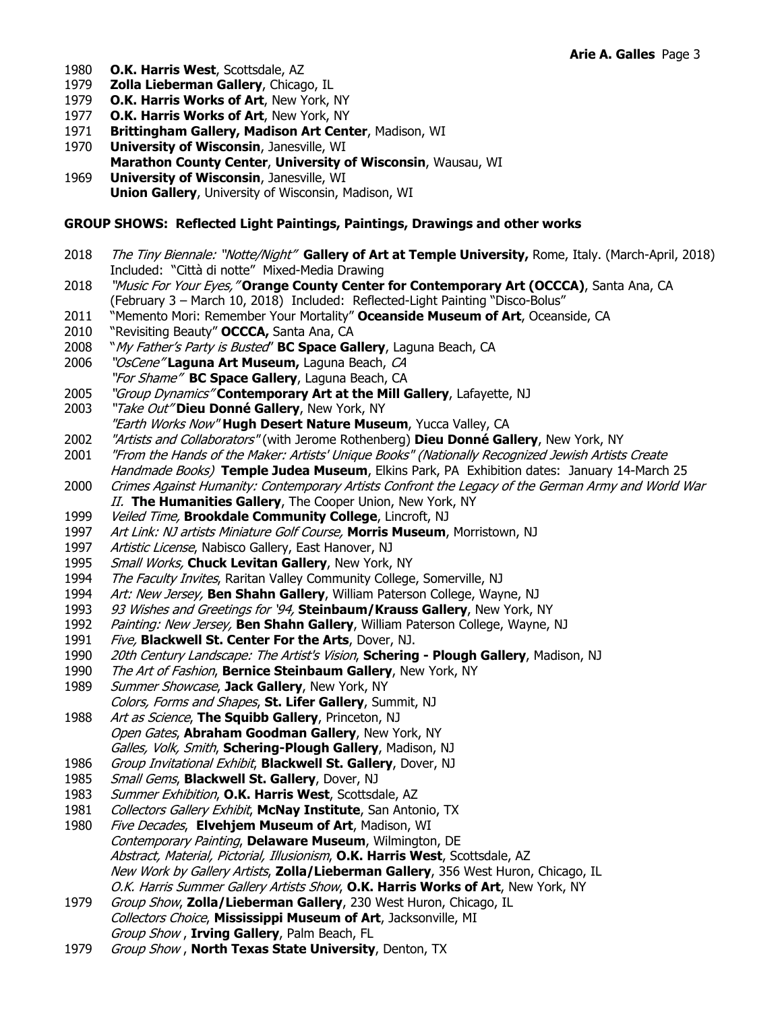- 1980 **O.K. Harris West**, Scottsdale, AZ
- 1979 **Zolla Lieberman Gallery**, Chicago, IL
- 1979 **O.K. Harris Works of Art**, New York, NY
- 1977 **O.K. Harris Works of Art**, New York, NY
- 1971 **Brittingham Gallery, Madison Art Center**, Madison, WI
- 1970 **University of Wisconsin**, Janesville, WI
- **Marathon County Center**, **University of Wisconsin**, Wausau, WI
- 1969 **University of Wisconsin**, Janesville, WI **Union Gallery**, University of Wisconsin, Madison, WI

## **GROUP SHOWS: Reflected Light Paintings, Paintings, Drawings and other works**

- 2018 The Tiny Biennale: "Notte/Night" **Gallery of Art at Temple University,** Rome, Italy. (March-April, 2018) Included: "Città di notte" Mixed-Media Drawing
- 2018 "Music For Your Eyes," **Orange County Center for Contemporary Art (OCCCA)**, Santa Ana, CA (February 3 – March 10, 2018) Included: Reflected-Light Painting "Disco-Bolus"
- 2011 "Memento Mori: Remember Your Mortality" **Oceanside Museum of Art**, Oceanside, CA
- 2010 "Revisiting Beauty" **OCCCA,** Santa Ana, CA
- 2008 "My Father's Party is Busted" **BC Space Gallery**, Laguna Beach, CA
- 2006 "OsCene" **Laguna Art Museum,** Laguna Beach, CA "For Shame" **BC Space Gallery**, Laguna Beach, CA
- 2005 "Group Dynamics" **Contemporary Art at the Mill Gallery**, Lafayette, NJ
- 2003 "Take Out" **Dieu Donné Gallery**, New York, NY
- "Earth Works Now" **Hugh Desert Nature Museum**, Yucca Valley, CA
- 2002 "Artists and Collaborators" (with Jerome Rothenberg) **Dieu Donné Gallery**, New York, NY
- 2001 "From the Hands of the Maker: Artists' Unique Books" (Nationally Recognized Jewish Artists Create Handmade Books) **Temple Judea Museum**, Elkins Park, PA Exhibition dates: January 14-March 25
- 2000 Crimes Against Humanity: Contemporary Artists Confront the Legacy of the German Army and World War II. **The Humanities Gallery**, The Cooper Union, New York, NY
- 1999 Veiled Time, **Brookdale Community College**, Lincroft, NJ
- 1997 Art Link: NJ artists Miniature Golf Course, **Morris Museum**, Morristown, NJ
- 1997 Artistic License, Nabisco Gallery, East Hanover, NJ
- 1995 Small Works, **Chuck Levitan Gallery**, New York, NY
- 1994 The Faculty Invites, Raritan Valley Community College, Somerville, NJ
- 1994 Art: New Jersey, **Ben Shahn Gallery**, William Paterson College, Wayne, NJ
- 1993 93 Wishes and Greetings for '94, **Steinbaum/Krauss Gallery**, New York, NY
- 1992 Painting: New Jersey, **Ben Shahn Gallery**, William Paterson College, Wayne, NJ
- 1991 Five, **Blackwell St. Center For the Arts**, Dover, NJ.
- 1990 20th Century Landscape: The Artist's Vision, **Schering Plough Gallery**, Madison, NJ
- 1990 The Art of Fashion, **Bernice Steinbaum Gallery**, New York, NY
- 1989 Summer Showcase, **Jack Gallery**, New York, NY
- Colors, Forms and Shapes, **St. Lifer Gallery**, Summit, NJ
- 1988 Art as Science, **The Squibb Gallery**, Princeton, NJ Open Gates, **Abraham Goodman Gallery**, New York, NY Galles, Volk, Smith, **Schering-Plough Gallery**, Madison, NJ
- 1986 Group Invitational Exhibit, **Blackwell St. Gallery**, Dover, NJ
- 1985 Small Gems, **Blackwell St. Gallery**, Dover, NJ
- 1983 Summer Exhibition, **O.K. Harris West**, Scottsdale, AZ
- 1981 Collectors Gallery Exhibit, **McNay Institute**, San Antonio, TX
- 1980 Five Decades, **Elvehjem Museum of Art**, Madison, WI Contemporary Painting, **Delaware Museum**, Wilmington, DE Abstract, Material, Pictorial, Illusionism, **O.K. Harris West**, Scottsdale, AZ New Work by Gallery Artists, **Zolla/Lieberman Gallery**, 356 West Huron, Chicago, IL O.K. Harris Summer Gallery Artists Show, **O.K. Harris Works of Art**, New York, NY
- 1979 Group Show, **Zolla/Lieberman Gallery**, 230 West Huron, Chicago, IL Collectors Choice, **Mississippi Museum of Art**, Jacksonville, MI Group Show , **Irving Gallery**, Palm Beach, FL
- 1979 Group Show , **North Texas State University**, Denton, TX